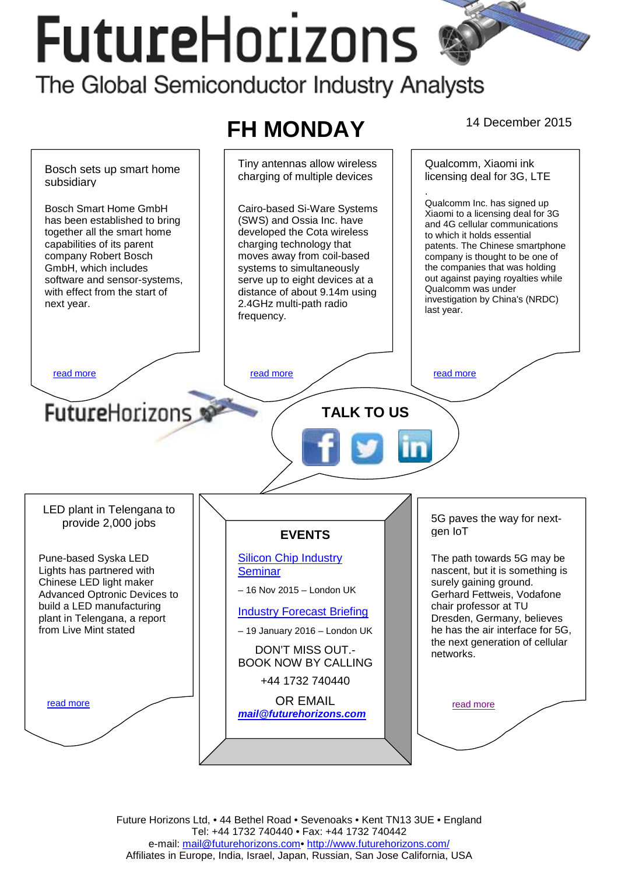# **FutureHorizons** The Global Semiconductor Industry Analysts



Future Horizons Ltd, • 44 Bethel Road • Sevenoaks • Kent TN13 3UE • England Tel: +44 1732 740440 • Fax: +44 1732 740442 e-mail: mail@futurehorizons.com• http://www.futurehorizons.com/ Affiliates in Europe, India, Israel, Japan, Russian, San Jose California, USA